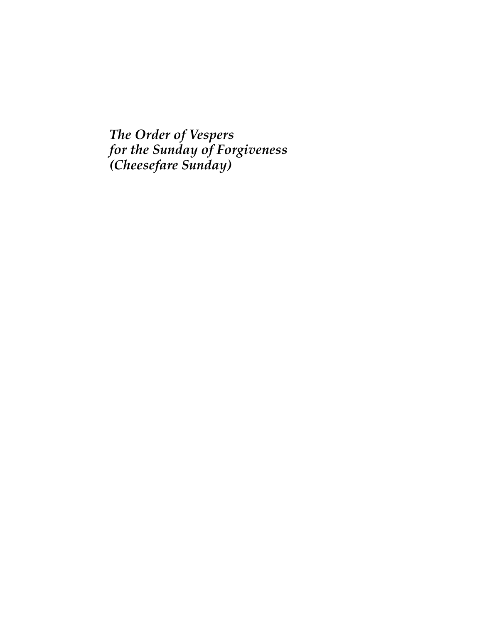*The Order of Vespers for the Sunday of Forgiveness (Cheesefare Sunday)*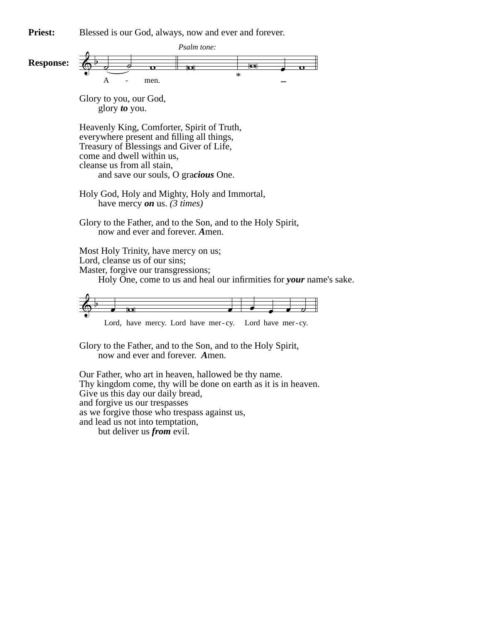**Priest:** Blessed is our God, always, now and ever and forever.



Our Father, who art in heaven, hallowed be thy name. Thy kingdom come, thy will be done on earth as it is in heaven. Give us this day our daily bread, and forgive us our trespasses as we forgive those who trespass against us, and lead us not into temptation, but deliver us *from* evil.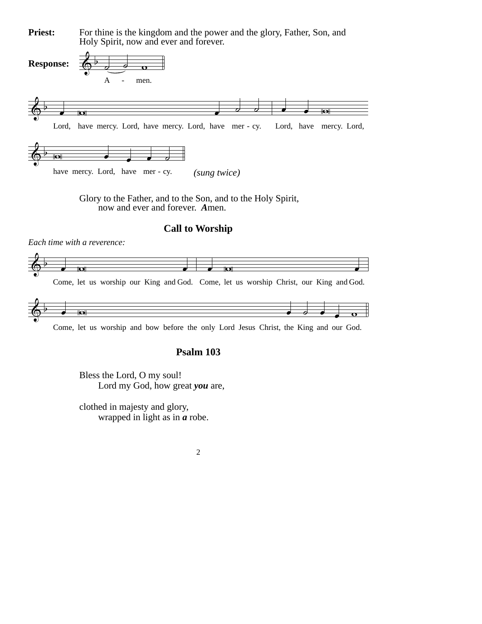For thine is the kingdom and the power and the glory, Father, Son, and Holy Spirit, now and ever and forever. **Priest:**



Glory to the Father, and to the Son, and to the Holy Spirit, now and ever and forever. *A*men.

#### **Call to Worship**



Come, let us worship and bow before the only Lord Jesus Christ, the King and our God.

# **Psalm 103**

Bless the Lord, O my soul! Lord my God, how great *you* are,

clothed in majesty and glory, wrapped in light as in *a* robe.

*Each time with a reverence:*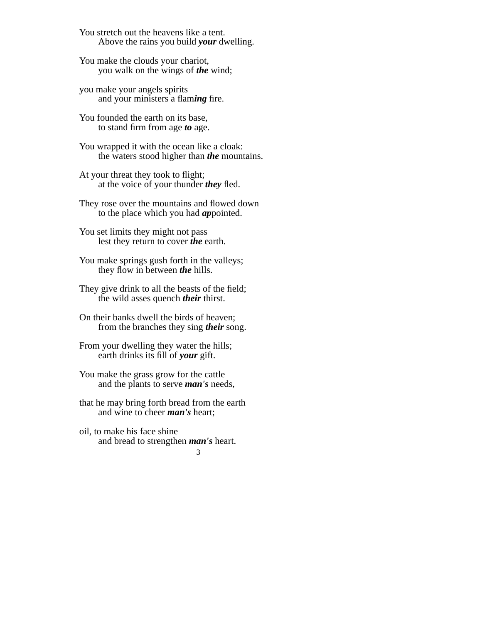You stretch out the heavens like a tent. Above the rains you build *your* dwelling.

You make the clouds your chariot, you walk on the wings of *the* wind;

you make your angels spirits and your ministers a flam*ing* fire.

You founded the earth on its base, to stand firm from age *to* age.

You wrapped it with the ocean like a cloak: the waters stood higher than *the* mountains.

At your threat they took to flight; at the voice of your thunder *they* fled.

They rose over the mountains and flowed down to the place which you had *ap*pointed.

You set limits they might not pass lest they return to cover *the* earth.

You make springs gush forth in the valleys; they flow in between *the* hills.

They give drink to all the beasts of the field; the wild asses quench *their* thirst.

On their banks dwell the birds of heaven; from the branches they sing *their* song.

From your dwelling they water the hills; earth drinks its fill of *your* gift.

You make the grass grow for the cattle and the plants to serve *man's* needs,

that he may bring forth bread from the earth and wine to cheer *man's* heart;

oil, to make his face shine and bread to strengthen *man's* heart.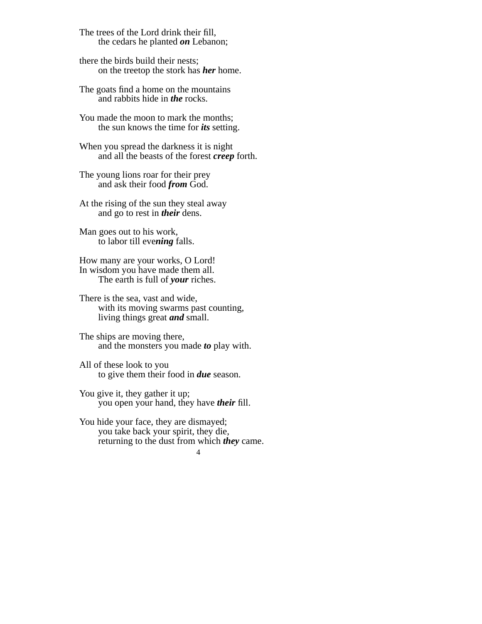The trees of the Lord drink their fill, the cedars he planted *on* Lebanon;

there the birds build their nests; on the treetop the stork has *her* home.

The goats find a home on the mountains and rabbits hide in *the* rocks.

You made the moon to mark the months; the sun knows the time for *its* setting.

When you spread the darkness it is night and all the beasts of the forest *creep* forth.

The young lions roar for their prey and ask their food *from* God.

At the rising of the sun they steal away and go to rest in *their* dens.

Man goes out to his work, to labor till eve*ning* falls.

How many are your works, O Lord! In wisdom you have made them all. The earth is full of *your* riches.

There is the sea, vast and wide, with its moving swarms past counting, living things great *and* small.

The ships are moving there, and the monsters you made *to* play with.

All of these look to you to give them their food in *due* season.

You give it, they gather it up; you open your hand, they have *their* fill.

You hide your face, they are dismayed; you take back your spirit, they die, returning to the dust from which *they* came.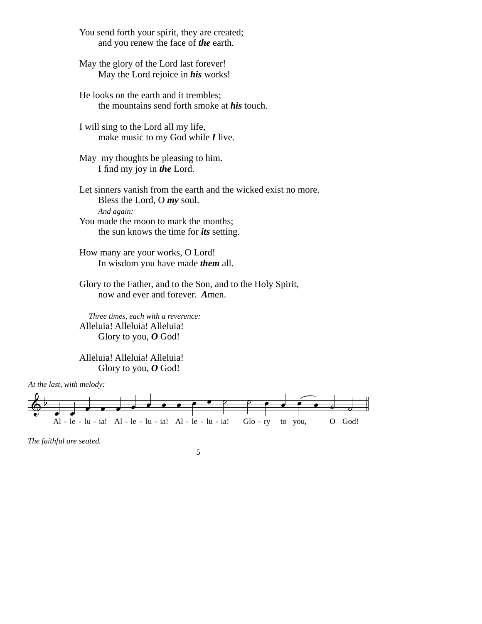You send forth your spirit, they are created; and you renew the face of *the* earth.

May the glory of the Lord last forever! May the Lord rejoice in *his* works!

He looks on the earth and it trembles; the mountains send forth smoke at *his* touch.

I will sing to the Lord all my life, make music to my God while *I* live.

May my thoughts be pleasing to him. I find my joy in *the* Lord.

Let sinners vanish from the earth and the wicked exist no more. Bless the Lord, O *my* soul. *And again:* You made the moon to mark the months;

the sun knows the time for *its* setting.

How many are your works, O Lord! In wisdom you have made *them* all.

Glory to the Father, and to the Son, and to the Holy Spirit, now and ever and forever. *A*men.

 *Three times, each with a reverence:* Alleluia! Alleluia! Alleluia! Glory to you, *O* God!

Alleluia! Alleluia! Alleluia! Glory to you, *O* God!



*The faithful are seated.*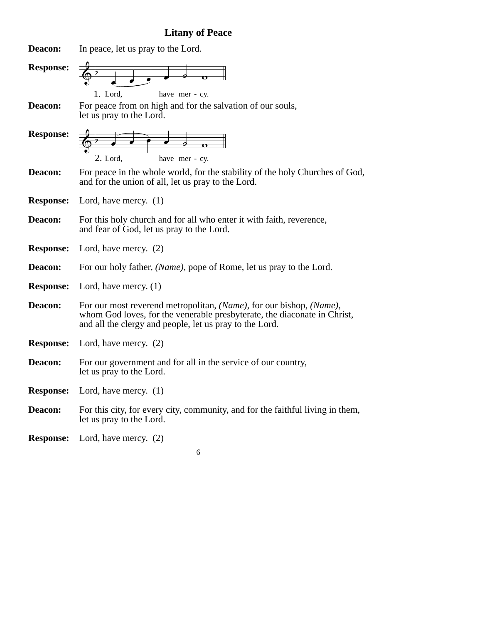# **Litany of Peace**

| Deacon:          | In peace, let us pray to the Lord.                                                                                                                                                                         |
|------------------|------------------------------------------------------------------------------------------------------------------------------------------------------------------------------------------------------------|
| <b>Response:</b> | 1. Lord,<br>have mer - cy.                                                                                                                                                                                 |
| Deacon:          | For peace from on high and for the salvation of our souls,<br>let us pray to the Lord.                                                                                                                     |
| <b>Response:</b> | $\bullet$ $\bullet$ $\bullet$ $\circ$ $\circ$<br>$2.$ Lord,<br>have mer - cy.                                                                                                                              |
| Deacon:          | For peace in the whole world, for the stability of the holy Churches of God,<br>and for the union of all, let us pray to the Lord.                                                                         |
| <b>Response:</b> | Lord, have mercy. $(1)$                                                                                                                                                                                    |
| Deacon:          | For this holy church and for all who enter it with faith, reverence,<br>and fear of God, let us pray to the Lord.                                                                                          |
| <b>Response:</b> | Lord, have mercy. $(2)$                                                                                                                                                                                    |
| Deacon:          | For our holy father, <i>(Name)</i> , pope of Rome, let us pray to the Lord.                                                                                                                                |
| <b>Response:</b> | Lord, have mercy. $(1)$                                                                                                                                                                                    |
| <b>Deacon:</b>   | For our most reverend metropolitan, (Name), for our bishop, (Name),<br>whom God loves, for the venerable presbyterate, the diaconate in Christ,<br>and all the clergy and people, let us pray to the Lord. |
| <b>Response:</b> | Lord, have mercy. $(2)$                                                                                                                                                                                    |
| Deacon:          | For our government and for all in the service of our country,<br>let us pray to the Lord.                                                                                                                  |
| <b>Response:</b> | Lord, have mercy. $(1)$                                                                                                                                                                                    |
| Deacon:          | For this city, for every city, community, and for the faithful living in them,<br>let us pray to the Lord.                                                                                                 |
| <b>Response:</b> | Lord, have mercy. $(2)$                                                                                                                                                                                    |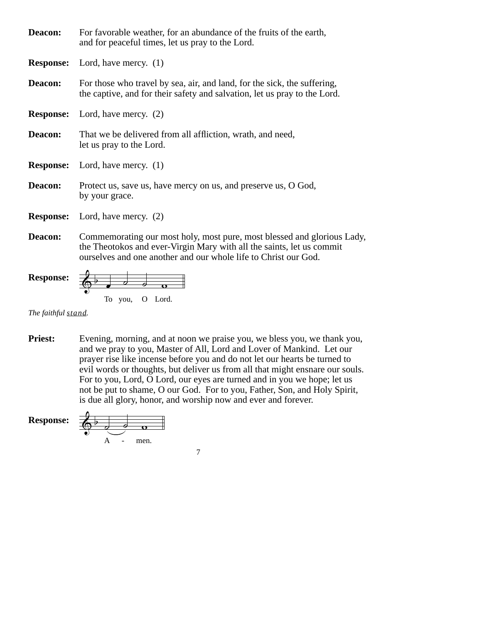| Deacon: | For favorable weather, for an abundance of the fruits of the earth,<br>and for peaceful times, let us pray to the Lord.                               |
|---------|-------------------------------------------------------------------------------------------------------------------------------------------------------|
|         | <b>Response:</b> Lord, have mercy. (1)                                                                                                                |
| Deacon: | For those who travel by sea, air, and land, for the sick, the suffering,<br>the captive, and for their safety and salvation, let us pray to the Lord. |
|         | <b>Response:</b> Lord, have mercy. (2)                                                                                                                |
| Deacon: | That we be delivered from all affliction, wrath, and need,<br>let us pray to the Lord.                                                                |
|         | <b>Response:</b> Lord, have mercy. (1)                                                                                                                |
| Deacon: | Protect us, save us, have mercy on us, and preserve us, O God,<br>by your grace.                                                                      |
|         | <b>Response:</b> Lord, have mercy. (2)                                                                                                                |
| Deacon: | Commemorating our most holy, most pure, most blessed and glorious Lady,<br>the Theotolics and even Uingin Many with all the soints let us commit      |

the Theotokos and ever-Virgin Mary with all the saints, let us commit ourselves and one another and our whole life to Christ our God.

**Response:** 
$$
\begin{array}{c|c}\n\hline\n\end{array}\n\qquad\n\begin{array}{ccc}\n\hline\n\end{array}\n\qquad\n\begin{array}{ccc}\n\hline\n\end{array}\n\qquad\n\begin{array}{ccc}\n\hline\n\end{array}\n\qquad\n\begin{array}{ccc}\n\hline\n\end{array}\n\qquad\n\begin{array}{ccc}\n\hline\n\end{array}\n\qquad\n\begin{array}{ccc}\n\hline\n\end{array}\n\qquad\n\begin{array}{ccc}\n\hline\n\end{array}\n\qquad\n\begin{array}{ccc}\n\hline\n\end{array}\n\qquad\n\begin{array}{ccc}\n\hline\n\end{array}\n\qquad\n\begin{array}{ccc}\n\hline\n\end{array}\n\qquad\n\begin{array}{ccc}\n\hline\n\end{array}\n\qquad\n\begin{array}{ccc}\n\hline\n\end{array}\n\qquad\n\begin{array}{ccc}\n\hline\n\end{array}\n\qquad\n\begin{array}{ccc}\n\hline\n\end{array}\n\qquad\n\begin{array}{ccc}\n\hline\n\end{array}\n\qquad\n\begin{array}{ccc}\n\hline\n\end{array}\n\qquad\n\begin{array}{ccc}\n\hline\n\end{array}\n\qquad\n\begin{array}{ccc}\n\hline\n\end{array}\n\qquad\n\begin{array}{ccc}\n\hline\n\end{array}\n\qquad\n\begin{array}{ccc}\n\hline\n\end{array}\n\qquad\n\begin{array}{ccc}\n\hline\n\end{array}\n\qquad\n\begin{array}{ccc}\n\hline\n\end{array}\n\qquad\n\begin{array}{ccc}\n\hline\n\end{array}\n\qquad\n\begin{array}{ccc}\n\hline\n\end{array}\n\qquad\n\begin{array}{ccc}\n\hline\n\end{array}\n\qquad\n\begin{array}{ccc}\n\hline\n\end{array}\n\qquad\n\begin{array}{ccc}\n\hline\n\end{array}\n\qquad\n\begin{array}{ccc}\n\hline\n\end{array}\n\qquad\n\begin{array}{ccc}\n\hline\n\end{array}\n\qquad\n\begin{array}{ccc}\n\hline\n\end{array}\n\qquad\n\begin{array}{ccc}\n\hline\n\end{array}\n\qquad\n\begin{array}{ccc}\n\hline\n\end{array}\n\qquad\n\begin{array}{ccc}\n\hline\n\end{array}\n\qquad\n\begin{array}{ccc}\
$$

*The faithful stand.*

**Priest:** Evening, morning, and at noon we praise you, we bless you, we thank you, and we pray to you, Master of All, Lord and Lover of Mankind. Let our prayer rise like incense before you and do not let our hearts be turned to evil words or thoughts, but deliver us from all that might ensnare our souls. For to you, Lord, O Lord, our eyes are turned and in you we hope; let us not be put to shame, O our God. For to you, Father, Son, and Holy Spirit, is due all glory, honor, and worship now and ever and forever.

**Response:** 
$$
\begin{array}{c}\n\begin{array}{ccc}\n\bullet & \bullet & \bullet \\
\hline\n\bullet & \bullet & \bullet\n\end{array}\n\end{array}
$$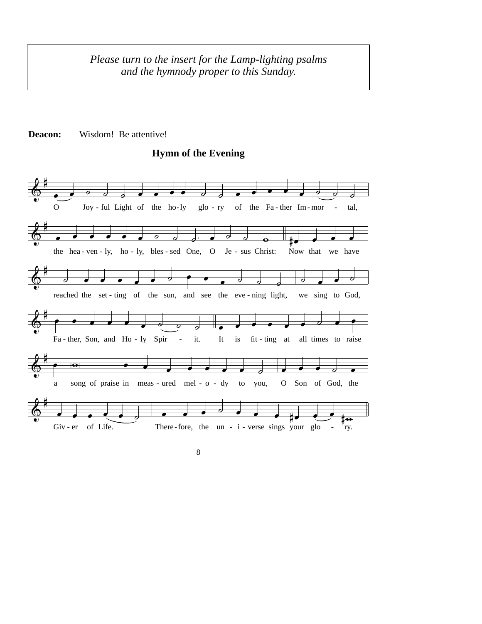*Please turn to the insert for the Lamp-lighting psalms and the hymnody proper to this Sunday.*





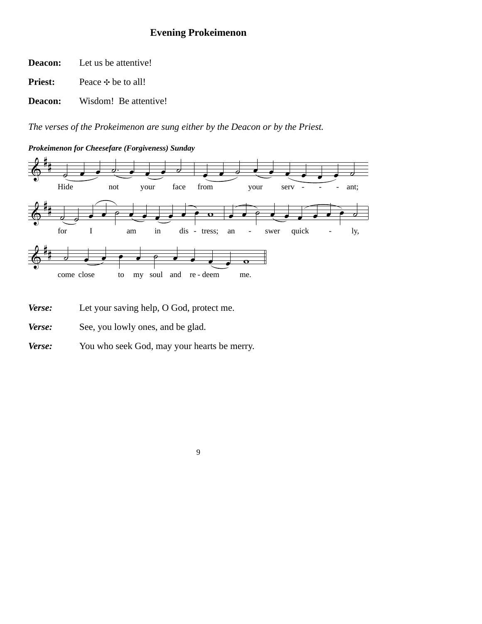# **Evening Prokeimenon**

Let us be attentive! **Deacon:**

Peace  $\div$  be to all! **Priest:**

Wisdom! Be attentive! **Deacon:**

*The verses of the Prokeimenon are sung either by the Deacon or by the Priest.* 

*Prokeimenon for Cheesefare (Forgiveness) Sunday*



- *Verse:*  Let your saving help, O God, protect me.
- *Verse:*  See, you lowly ones, and be glad.
- *Verse:*  You who seek God, may your hearts be merry.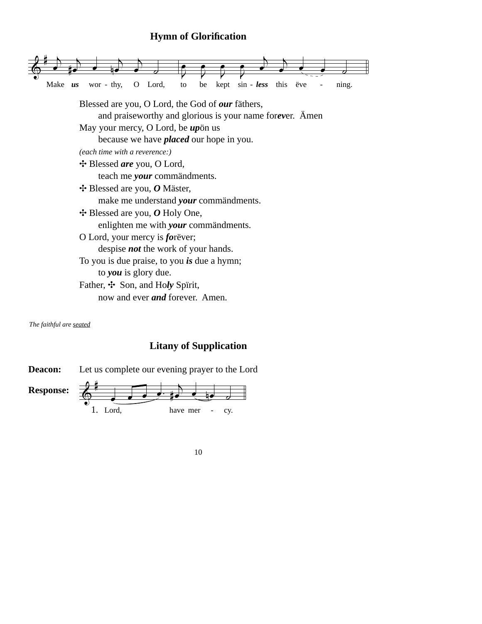# **Hymn of Glorification**



*The faithful are seated*

## **Litany of Supplication**

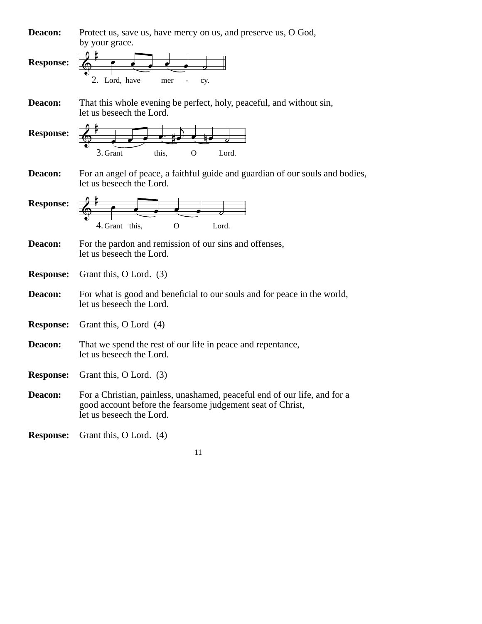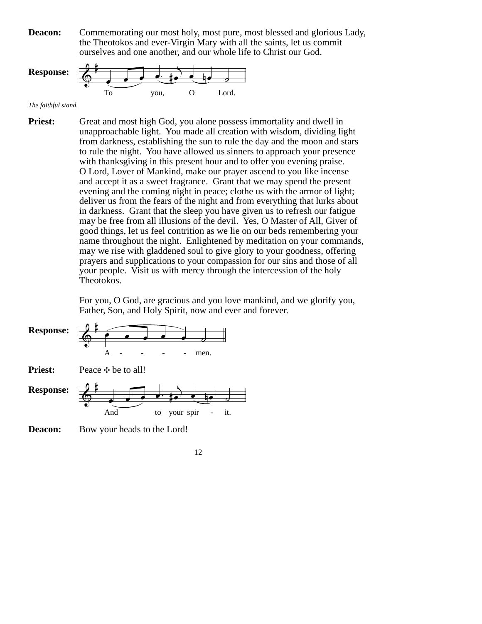Commemorating our most holy, most pure, most blessed and glorious Lady, the Theotokos and ever-Virgin Mary with all the saints, let us commit ourselves and one another, and our whole life to Christ our God. **Deacon:**



*The faithful stand.*

Great and most high God, you alone possess immortality and dwell in unapproachable light. You made all creation with wisdom, dividing light from darkness, establishing the sun to rule the day and the moon and stars to rule the night. You have allowed us sinners to approach your presence with thanksgiving in this present hour and to offer you evening praise. O Lord, Lover of Mankind, make our prayer ascend to you like incense and accept it as a sweet fragrance. Grant that we may spend the present evening and the coming night in peace; clothe us with the armor of light; deliver us from the fears of the night and from everything that lurks about in darkness. Grant that the sleep you have given us to refresh our fatigue may be free from all illusions of the devil. Yes, O Master of All, Giver of good things, let us feel contrition as we lie on our beds remembering your name throughout the night. Enlightened by meditation on your commands, may we rise with gladdened soul to give glory to your goodness, offering prayers and supplications to your compassion for our sins and those of all your people. Visit us with mercy through the intercession of the holy Theotokos. **Priest:**

> For you, O God, are gracious and you love mankind, and we glorify you, Father, Son, and Holy Spirit, now and ever and forever.



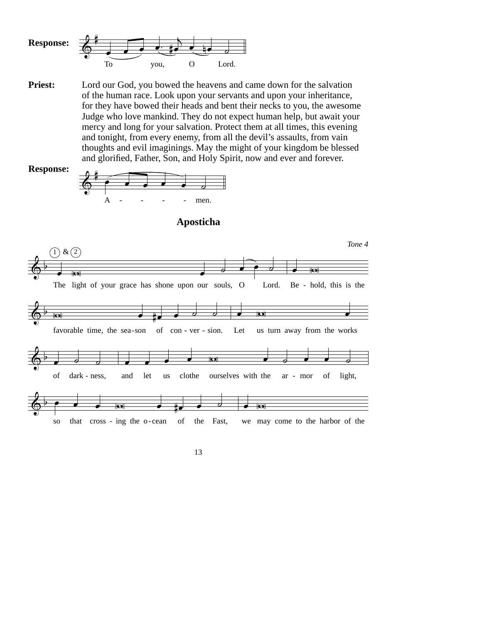

**Priest:** Lord our God, you bowed the heavens and came down for the salvation of the human race. Look upon your servants and upon your inheritance, for they have bowed their heads and bent their necks to you, the awesome Judge who love mankind. They do not expect human help, but await your mercy and long for your salvation. Protect them at all times, this evening and tonight, from every enemy, from all the devil's assaults, from vain thoughts and evil imaginings. May the might of your kingdom be blessed and glorified, Father, Son, and Holy Spirit, now and ever and forever.

**Response:**





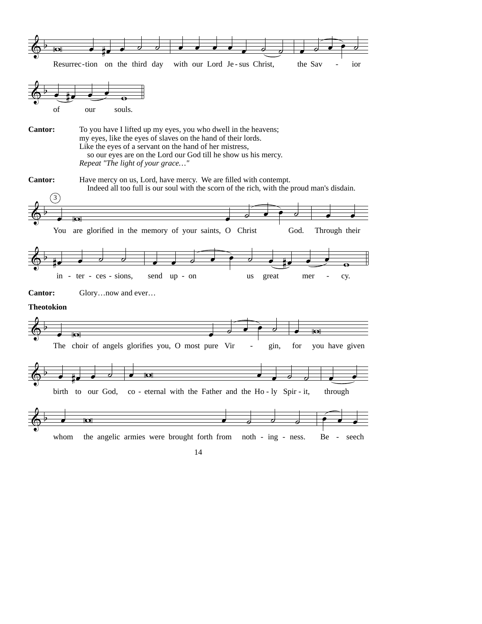

whom the angelic armies were brought forth from noth - ing - ness. Be - seech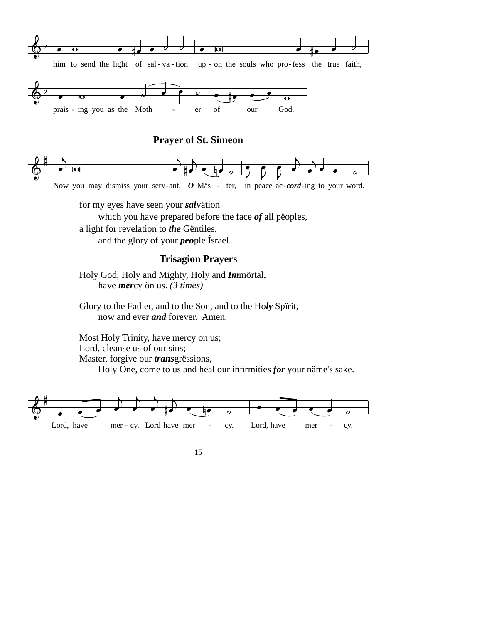

#### **Prayer of St. Simeon**



Now you may dismiss your serv-ant, O Mäs - ter, in peace ac-cord-ing to your word.

for my eyes have seen your *sal*vätion

which you have prepared before the face *of* all pëoples,

a light for revelation to *the* Gëntiles,

and the glory of your *peo*ple Ísrael.

## **Trisagion Prayers**

Holy God, Holy and Mighty, Holy and *Im*mörtal, have *mer*cy ön us. *(3 times)*

Glory to the Father, and to the Son, and to the Ho*ly* Spïrit, now and ever *and* forever. Amen.

Most Holy Trinity, have mercy on us; Lord, cleanse us of our sins; Master, forgive our *trans*grëssions,

Holy One, come to us and heal our infirmities *for* your näme's sake.

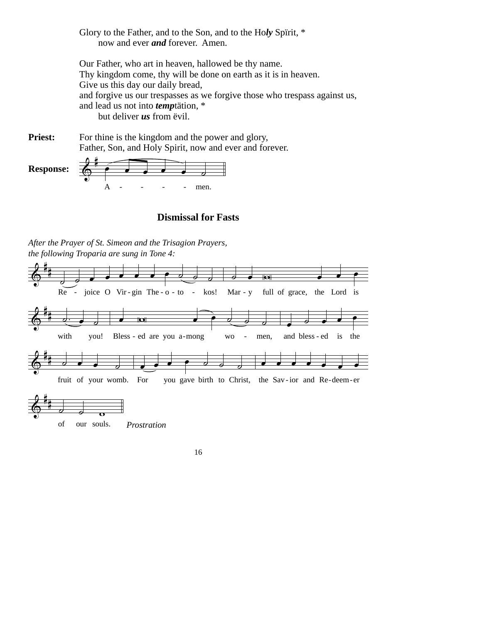Glory to the Father, and to the Son, and to the Ho*ly* Spïrit, \* now and ever *and* forever. Amen.

Our Father, who art in heaven, hallowed be thy name. Thy kingdom come, thy will be done on earth as it is in heaven. Give us this day our daily bread, and forgive us our trespasses as we forgive those who trespass against us, and lead us not into *temp*tätion, \* but deliver *us* from ëvil.

For thine is the kingdom and the power and glory, Father, Son, and Holy Spirit, now and ever and forever. **Priest:**



## **Dismissal for Fasts**

*After the Prayer of St. Simeon and the Trisagion Prayers, the following Troparia are sung in Tone 4:* 

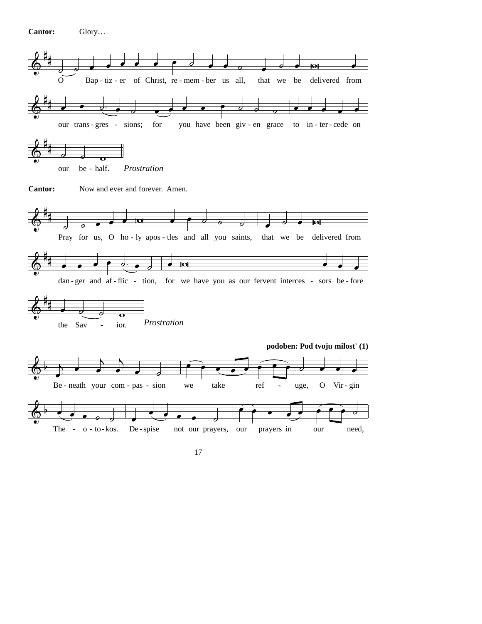**Cantor:** Glory…

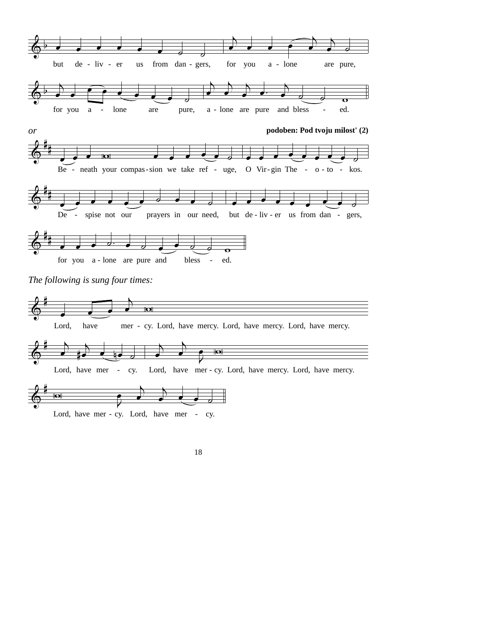

Lord, have mer - cy. Lord, have mer - cy.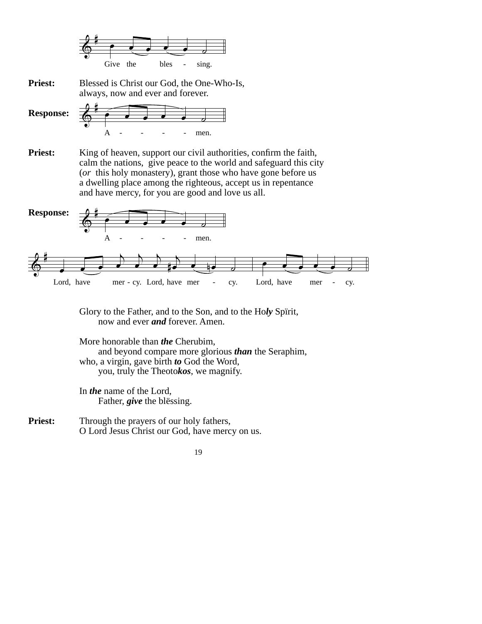

Blessed is Christ our God, the One-Who-Is, always, now and ever and forever. **Priest:**



King of heaven, support our civil authorities, confirm the faith, calm the nations, give peace to the world and safeguard this city (*or* this holy monastery), grant those who have gone before us a dwelling place among the righteous, accept us in repentance and have mercy, for you are good and love us all. **Priest:**



Glory to the Father, and to the Son, and to the Ho*ly* Spïrit, now and ever *and* forever. Amen.

More honorable than *the* Cherubim, and beyond compare more glorious *than* the Seraphim, who, a virgin, gave birth *to* God the Word, you, truly the Theoto*kos*, we magnify.

In *the* name of the Lord, Father, *give* the blëssing.

Through the prayers of our holy fathers, O Lord Jesus Christ our God, have mercy on us. **Priest:**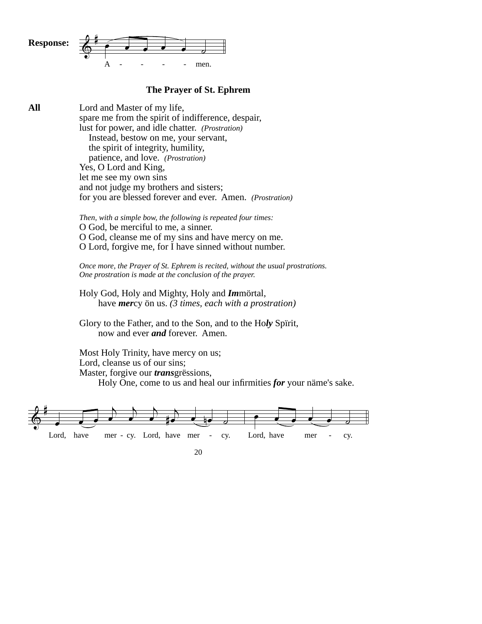

#### **The Prayer of St. Ephrem**

 $\&$  $\overline{\phantom{a}}$  $\rightarrow$  $\overrightarrow{ }$  $\rightarrow$ <u>#e e n</u>e o  $\bullet$   $\bullet$   $\bullet$   $\bullet$   $\bullet$ **All** Lord and Master of my life, spare me from the spirit of indifference, despair, lust for power, and idle chatter. *(Prostration)* Instead, bestow on me, your servant, the spirit of integrity, humility, patience, and love. *(Prostration)* Yes, O Lord and King, let me see my own sins and not judge my brothers and sisters; for you are blessed forever and ever. Amen. *(Prostration) Then, with a simple bow, the following is repeated four times:* O God, be merciful to me, a sinner. O God, cleanse me of my sins and have mercy on me. O Lord, forgive me, for I have sinned without number. *Once more, the Prayer of St. Ephrem is recited, without the usual prostrations. One prostration is made at the conclusion of the prayer.*  Holy God, Holy and Mighty, Holy and *Im*mörtal, have *mer*cy ön us. *(3 times, each with a prostration)* Glory to the Father, and to the Son, and to the Ho*ly* Spïrit, now and ever *and* forever. Amen. Most Holy Trinity, have mercy on us; Lord, cleanse us of our sins; Master, forgive our *trans*grëssions, Holy One, come to us and heal our infirmities *for* your näme's sake.

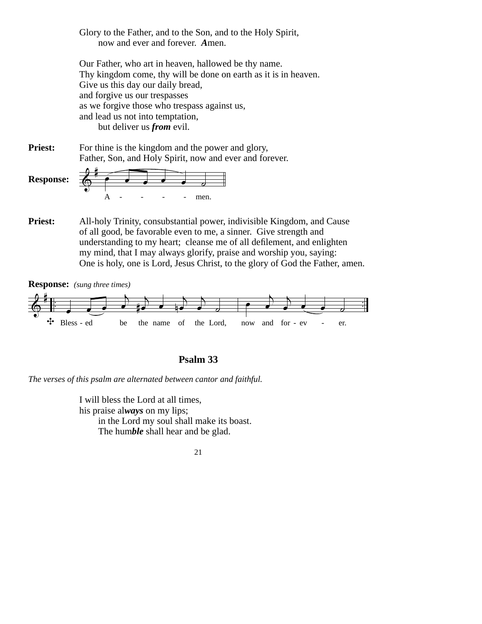Glory to the Father, and to the Son, and to the Holy Spirit, now and ever and forever. *A*men.

Our Father, who art in heaven, hallowed be thy name. Thy kingdom come, thy will be done on earth as it is in heaven. Give us this day our daily bread, and forgive us our trespasses as we forgive those who trespass against us, and lead us not into temptation, but deliver us *from* evil.

For thine is the kingdom and the power and glory, Father, Son, and Holy Spirit, now and ever and forever. **Priest:**

**Response:**



All-holy Trinity, consubstantial power, indivisible Kingdom, and Cause of all good, be favorable even to me, a sinner. Give strength and understanding to my heart; cleanse me of all defilement, and enlighten my mind, that I may always glorify, praise and worship you, saying: One is holy, one is Lord, Jesus Christ, to the glory of God the Father, amen. **Priest:**



**Psalm 33**

*The verses of this psalm are alternated between cantor and faithful.* 

I will bless the Lord at all times, his praise al*ways* on my lips; in the Lord my soul shall make its boast. The hum*ble* shall hear and be glad.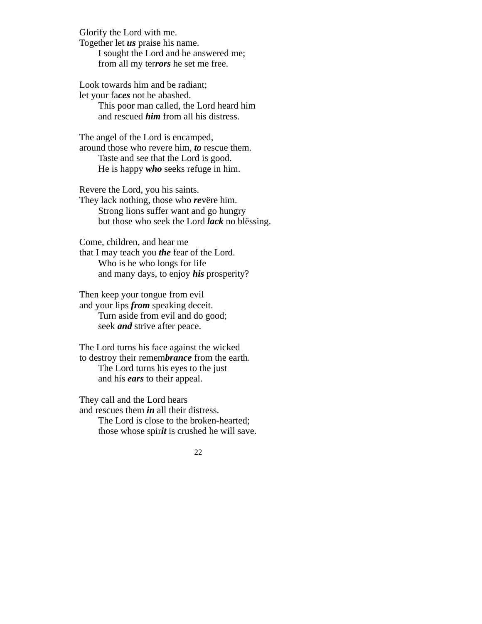Glorify the Lord with me. Together let *us* praise his name. I sought the Lord and he answered me; from all my ter*rors* he set me free.

Look towards him and be radiant; let your fa*ces* not be abashed.

> This poor man called, the Lord heard him and rescued *him* from all his distress.

The angel of the Lord is encamped, around those who revere him, *to* rescue them. Taste and see that the Lord is good. He is happy *who* seeks refuge in him.

Revere the Lord, you his saints.

They lack nothing, those who *re*vëre him. Strong lions suffer want and go hungry but those who seek the Lord *lack* no blëssing.

Come, children, and hear me

that I may teach you *the* fear of the Lord. Who is he who longs for life and many days, to enjoy *his* prosperity?

Then keep your tongue from evil and your lips *from* speaking deceit. Turn aside from evil and do good; seek *and* strive after peace.

The Lord turns his face against the wicked to destroy their remem*brance* from the earth. The Lord turns his eyes to the just and his *ears* to their appeal.

They call and the Lord hears and rescues them *in* all their distress. The Lord is close to the broken-hearted;

those whose spir*it* is crushed he will save.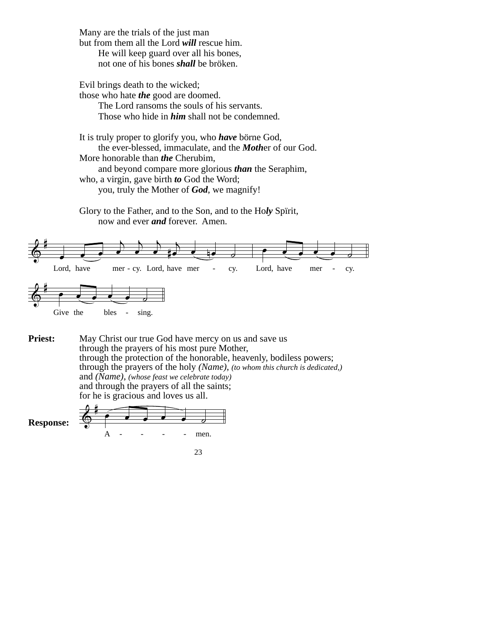Many are the trials of the just man but from them all the Lord *will* rescue him. He will keep guard over all his bones, not one of his bones *shall* be bröken.

Evil brings death to the wicked; those who hate *the* good are doomed.

> The Lord ransoms the souls of his servants. Those who hide in *him* shall not be condemned.

It is truly proper to glorify you, who *have* börne God, the ever-blessed, immaculate, and the *Moth*er of our God. More honorable than *the* Cherubim, and beyond compare more glorious *than* the Seraphim, who, a virgin, gave birth *to* God the Word;

you, truly the Mother of *God*, we magnify!

Glory to the Father, and to the Son, and to the Ho*ly* Spïrit, now and ever *and* forever. Amen.



May Christ our true God have mercy on us and save us through the prayers of his most pure Mother, through the protection of the honorable, heavenly, bodiless powers; through the prayers of the holy *(Name)*, *(to whom this church is dedicated,)* and *(Name)*, *(whose feast we celebrate today)* and through the prayers of all the saints; for he is gracious and loves us all. **Priest:**

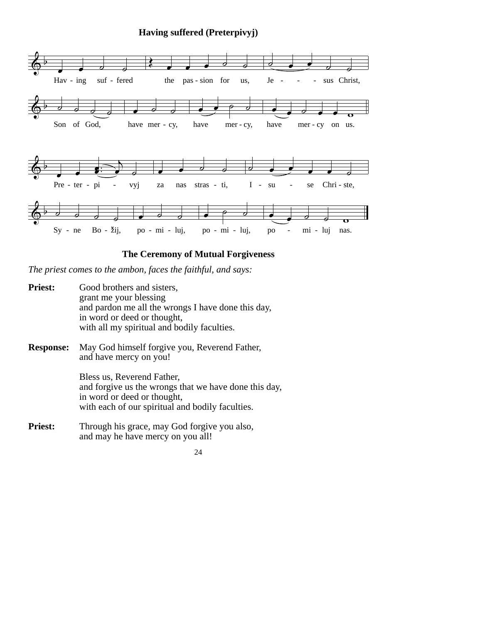**Having suffered (Preterpivyj)**



## **The Ceremony of Mutual Forgiveness**

*The priest comes to the ambon, faces the faithful, and says:*

| <b>Priest:</b>   | Good brothers and sisters,<br>grant me your blessing<br>and pardon me all the wrongs I have done this day,<br>in word or deed or thought,<br>with all my spiritual and bodily faculties. |
|------------------|------------------------------------------------------------------------------------------------------------------------------------------------------------------------------------------|
| <b>Response:</b> | May God himself forgive you, Reverend Father,<br>and have mercy on you!                                                                                                                  |
|                  | Bless us, Reverend Father,<br>and forgive us the wrongs that we have done this day,<br>in word or deed or thought,<br>with each of our spiritual and bodily faculties.                   |
| <b>Priest:</b>   | Through his grace, may God forgive you also,<br>and may he have mercy on you all!                                                                                                        |